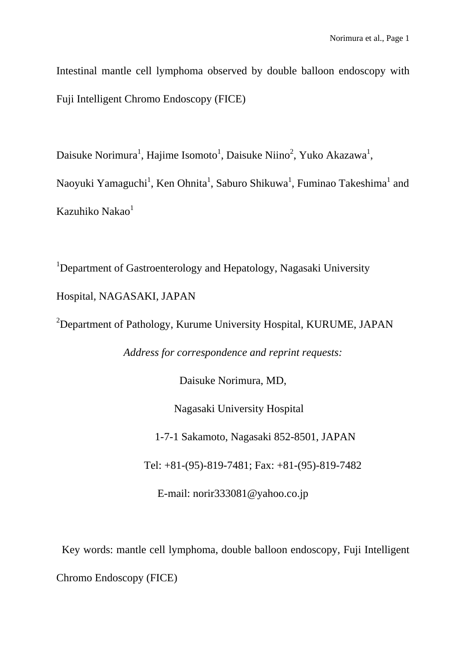Intestinal mantle cell lymphoma observed by double balloon endoscopy with Fuji Intelligent Chromo Endoscopy (FICE)

Daisuke Norimura<sup>1</sup>, Hajime Isomoto<sup>1</sup>, Daisuke Niino<sup>2</sup>, Yuko Akazawa<sup>1</sup>,

Naoyuki Yamaguchi<sup>1</sup>, Ken Ohnita<sup>1</sup>, Saburo Shikuwa<sup>1</sup>, Fuminao Takeshima<sup>1</sup> and Kazuhiko Nakao<sup>1</sup>

<sup>1</sup>Department of Gastroenterology and Hepatology, Nagasaki University Hospital, NAGASAKI, JAPAN

<sup>2</sup>Department of Pathology, Kurume University Hospital, KURUME, JAPAN

*Address for correspondence and reprint requests:* 

Daisuke Norimura, MD,

Nagasaki University Hospital

1-7-1 Sakamoto, Nagasaki 852-8501, JAPAN

Tel: +81-(95)-819-7481; Fax: +81-(95)-819-7482

E-mail: norir333081@yahoo.co.jp

Key words: mantle cell lymphoma, double balloon endoscopy, Fuji Intelligent Chromo Endoscopy (FICE)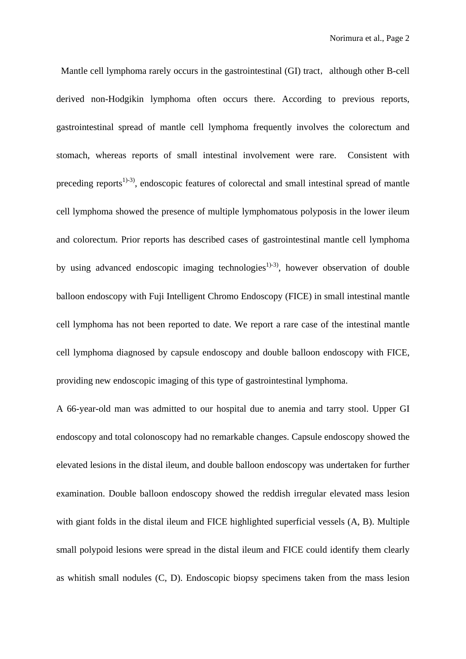Mantle cell lymphoma rarely occurs in the gastrointestinal (GI) tract, although other B-cell derived non-Hodgikin lymphoma often occurs there. According to previous reports, gastrointestinal spread of mantle cell lymphoma frequently involves the colorectum and stomach, whereas reports of small intestinal involvement were rare. Consistent with preceding reports<sup>1)-3)</sup>, endoscopic features of colorectal and small intestinal spread of mantle cell lymphoma showed the presence of multiple lymphomatous polyposis in the lower ileum and colorectum. Prior reports has described cases of gastrointestinal mantle cell lymphoma by using advanced endoscopic imaging technologies<sup>1)-3)</sup>, however observation of double balloon endoscopy with Fuji Intelligent Chromo Endoscopy (FICE) in small intestinal mantle cell lymphoma has not been reported to date. We report a rare case of the intestinal mantle cell lymphoma diagnosed by capsule endoscopy and double balloon endoscopy with FICE, providing new endoscopic imaging of this type of gastrointestinal lymphoma.

A 66-year-old man was admitted to our hospital due to anemia and tarry stool. Upper GI endoscopy and total colonoscopy had no remarkable changes. Capsule endoscopy showed the elevated lesions in the distal ileum, and double balloon endoscopy was undertaken for further examination. Double balloon endoscopy showed the reddish irregular elevated mass lesion with giant folds in the distal ileum and FICE highlighted superficial vessels (A, B). Multiple small polypoid lesions were spread in the distal ileum and FICE could identify them clearly as whitish small nodules (C, D). Endoscopic biopsy specimens taken from the mass lesion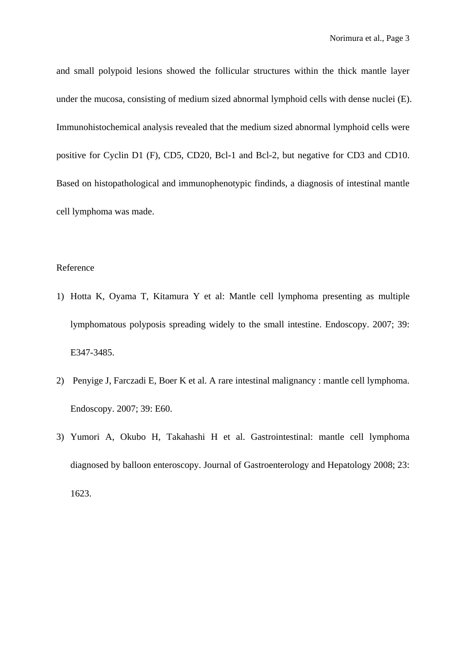and small polypoid lesions showed the follicular structures within the thick mantle layer under the mucosa, consisting of medium sized abnormal lymphoid cells with dense nuclei (E). Immunohistochemical analysis revealed that the medium sized abnormal lymphoid cells were positive for Cyclin D1 (F), CD5, CD20, Bcl-1 and Bcl-2, but negative for CD3 and CD10. Based on histopathological and immunophenotypic findinds, a diagnosis of intestinal mantle cell lymphoma was made.

## Reference

- 1) Hotta K, Oyama T, Kitamura Y et al: Mantle cell lymphoma presenting as multiple lymphomatous polyposis spreading widely to the small intestine. Endoscopy. 2007; 39: E347-3485.
- 2) Penyige J, Farczadi E, Boer K et al. A rare intestinal malignancy : mantle cell lymphoma. Endoscopy. 2007; 39: E60.
- 3) Yumori A, Okubo H, Takahashi H et al. Gastrointestinal: mantle cell lymphoma diagnosed by balloon enteroscopy. Journal of Gastroenterology and Hepatology 2008; 23: 1623.